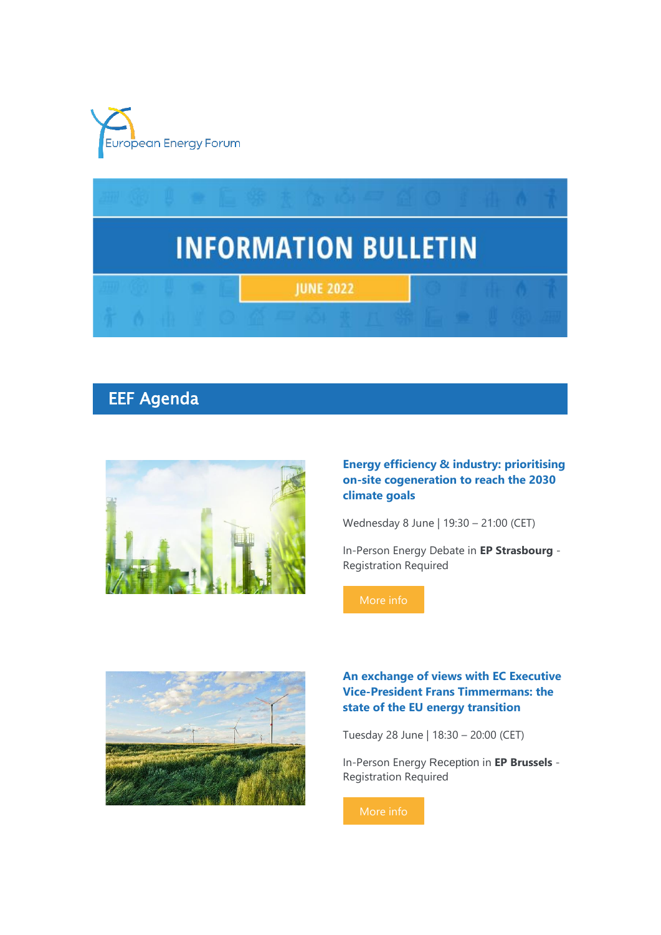



# EEF Agenda



## **Energy efficiency & industry: prioritising on-site cogeneration to reach the 2030 climate goals**

Wednesday 8 June | 19:30 – 21:00 (CET)

In-Person Energy Debate in **EP Strasbourg** - Registration Required



## **An exchange of views with EC Executive Vice-President Frans Timmermans: the state of the EU energy transition**

Tuesday 28 June | 18:30 – 20:00 (CET)

In-Person Energy Reception in **EP Brussels** - Registration Required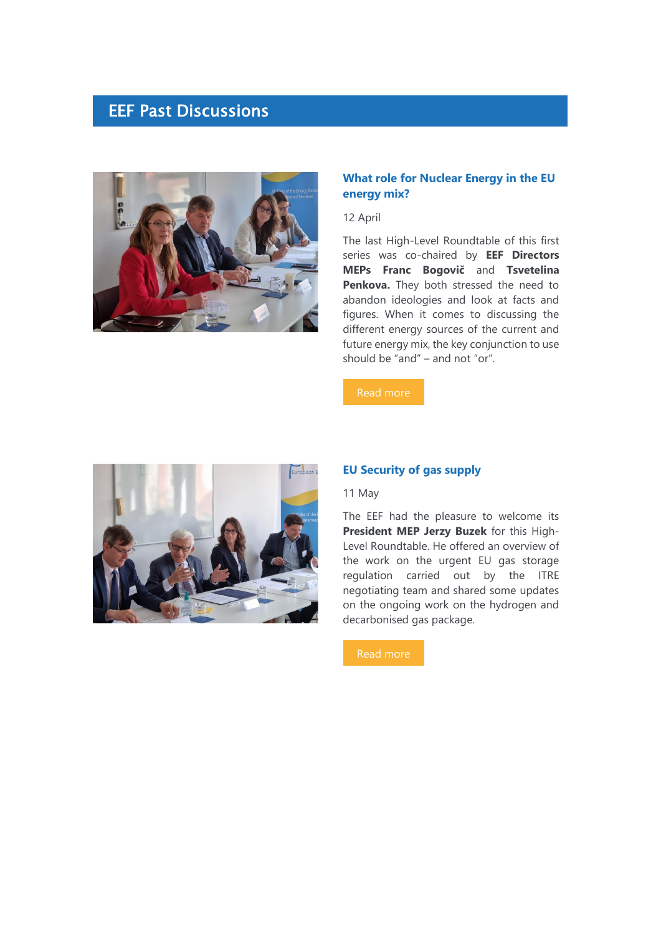## EEF Past Discussions



## **What role for Nuclear Energy in the EU energy mix?**

12 April

The last High-Level Roundtable of this first series was co-chaired by **EEF Directors MEPs Franc Bogovič** and **Tsvetelina Penkova.** They both stressed the need to abandon ideologies and look at facts and figures. When it comes to discussing the different energy sources of the current and future energy mix, the key conjunction to use should be "and" – and not "or".

[Read more](https://7n8k7.r.a.d.sendibm1.com/mk/cl/f/LsyhxhUrz5DCYAjpU1g6QAcPL6xn97ITfxxaM4LHWwQHgz1w-iKOgXA16S8k_aq5raXsavSuYt01gOqOpq6MtkSM1MsN3_HII38CWwJdhr6_Znx1RBJRWm16pxG8wJA0OCb4B_C4rL8I9f7ngTj4Jb4lEy4Td6MiSs5uDONf6-3J9J08G9k9Hrpaqbfzm0wvicE5JhyFnwldiXZi8iALxBg7OS9peAtIKN269sdUWF2p9QtlHyRhbTS8oMOMIByAEp7FvI0YNik)



#### **EU Security of gas supply**

11 May

The EEF had the pleasure to welcome its **President MEP Jerzy Buzek** for this High-Level Roundtable. He offered an overview of the work on the urgent EU gas storage regulation carried out by the ITRE negotiating team and shared some updates on the ongoing work on the hydrogen and decarbonised gas package.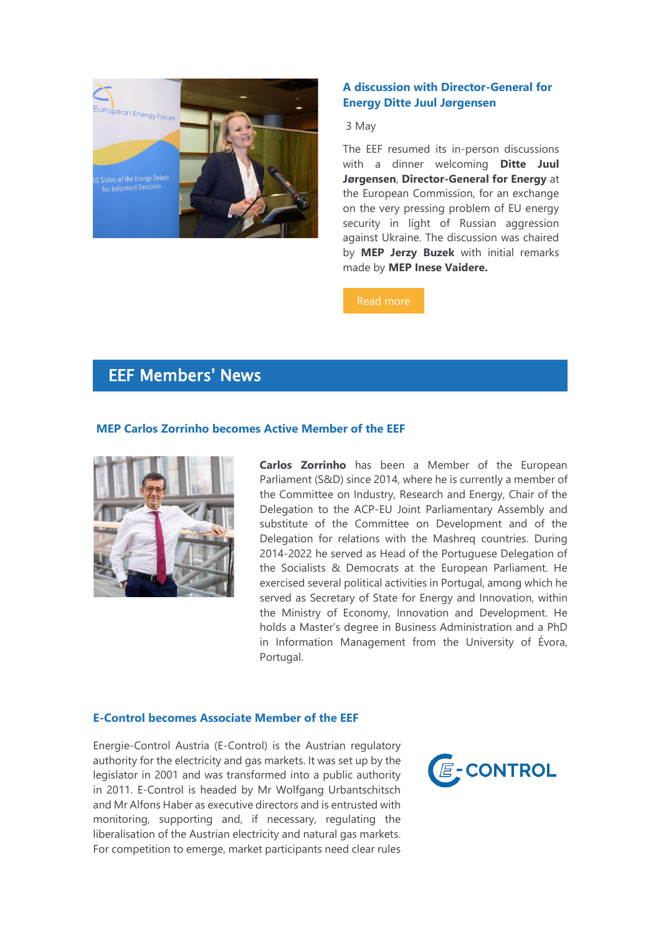

## **A discussion with Director-General for Energy Ditte Juul Jørgensen**

#### 3 May

The EEF resumed its in-person discussions with a dinner welcoming **Ditte Juul Jørgensen**, **Director-General for Energy** at the European Commission, for an exchange on the very pressing problem of EU energy security in light of Russian aggression against Ukraine. The discussion was chaired by **MEP Jerzy Buzek** with initial remarks made by **MEP Inese Vaidere.**

#### [Read more](https://7n8k7.r.a.d.sendibm1.com/mk/cl/f/I_NJJg10aQpHHejtgr3-jRriRbyv8HDVfGXLKwFnSyoA7pDX02yVOyb_t3iOYtrnmWJ3Me5eZzkQBzjuzQFzK2kwYBCaEAHIeDhMZTla_844N0ibLoukUc9TttJt_67ySbdW_hqUWPVK_7jfUPl7lYKwYUUvxeCAP6aB-fMZBTJSZQ8PVzOsWBfaaeGfvr8Tn_1epsSQdd0M9d9l07gmVzXsKBtoQbma88eIQZ0jg5cY1xR27jbiQz_j7Sz72SRbGWY99LyGkhAjkT7_fTwiRL89iGdUNQk6PQtmbRy9jDrXYyE)

## EEF Members' News

#### **MEP Carlos Zorrinho becomes Active Member of the EEF**



**Carlos Zorrinho** has been a Member of the European Parliament (S&D) since 2014, where he is currently a member of the Committee on Industry, Research and Energy, Chair of the Delegation to the ACP-EU Joint Parliamentary Assembly and substitute of the Committee on Development and of the Delegation for relations with the Mashreq countries. During 2014-2022 he served as Head of the Portuguese Delegation of the Socialists & Democrats at the European Parliament. He exercised several political activities in Portugal, among which he served as Secretary of State for Energy and Innovation, within the Ministry of Economy, Innovation and Development. He holds a Master's degree in Business Administration and a PhD in Information Management from the University of Évora, Portugal.

#### **E-Control becomes Associate Member of the EEF**

Energie-Control Austria (E-Control) is the Austrian regulatory authority for the electricity and gas markets. It was set up by the legislator in 2001 and was transformed into a public authority in 2011. E-Control is headed by Mr Wolfgang Urbantschitsch and Mr Alfons Haber as executive directors and is entrusted with monitoring, supporting and, if necessary, regulating the liberalisation of the Austrian electricity and natural gas markets. For competition to emerge, market participants need clear rules